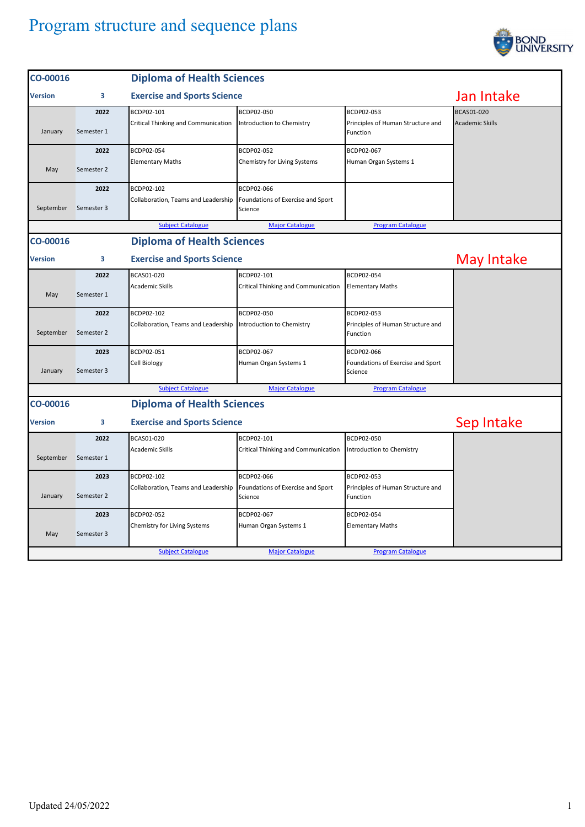

| CO-00016       | <b>Diploma of Health Sciences</b>       |                                     |                                              |                                               |                        |
|----------------|-----------------------------------------|-------------------------------------|----------------------------------------------|-----------------------------------------------|------------------------|
| <b>Version</b> | 3                                       | <b>Exercise and Sports Science</b>  |                                              |                                               | Jan Intake             |
|                | 2022                                    | BCDP02-101                          | BCDP02-050                                   | BCDP02-053                                    | BCAS01-020             |
| January        | Semester 1                              | Critical Thinking and Communication | Introduction to Chemistry                    | Principles of Human Structure and<br>Function | <b>Academic Skills</b> |
|                | 2022                                    | BCDP02-054                          | BCDP02-052                                   | BCDP02-067                                    |                        |
| May            | Semester 2                              | <b>Elementary Maths</b>             | Chemistry for Living Systems                 | Human Organ Systems 1                         |                        |
|                | 2022                                    | BCDP02-102                          | BCDP02-066                                   |                                               |                        |
| September      | Semester 3                              | Collaboration, Teams and Leadership | Foundations of Exercise and Sport<br>Science |                                               |                        |
|                |                                         | <b>Subject Catalogue</b>            | <b>Major Catalogue</b>                       | <b>Program Catalogue</b>                      |                        |
| CO-00016       |                                         | <b>Diploma of Health Sciences</b>   |                                              |                                               |                        |
| <b>Version</b> | <b>Exercise and Sports Science</b><br>3 |                                     |                                              |                                               | May Intake             |
|                | 2022                                    | BCAS01-020                          | BCDP02-101                                   | BCDP02-054                                    |                        |
| May            | Semester 1                              | Academic Skills                     | Critical Thinking and Communication          | <b>Elementary Maths</b>                       |                        |
|                | 2022                                    | BCDP02-102                          | BCDP02-050                                   | BCDP02-053                                    |                        |
| September      | Semester 2                              | Collaboration, Teams and Leadership | Introduction to Chemistry                    | Principles of Human Structure and<br>Function |                        |
|                | 2023                                    | BCDP02-051                          | BCDP02-067                                   | BCDP02-066                                    |                        |
| January        | Semester 3                              | Cell Biology                        | Human Organ Systems 1                        | Foundations of Exercise and Sport<br>Science  |                        |
|                |                                         | <b>Subject Catalogue</b>            | <b>Major Catalogue</b>                       | <b>Program Catalogue</b>                      |                        |
| CO-00016       | <b>Diploma of Health Sciences</b>       |                                     |                                              |                                               |                        |
| <b>Version</b> | 3                                       | <b>Exercise and Sports Science</b>  |                                              |                                               | Sep Intake             |
|                | 2022                                    | BCAS01-020                          | BCDP02-101                                   | BCDP02-050                                    |                        |
| September      | Semester 1                              | <b>Academic Skills</b>              | Critical Thinking and Communication          | Introduction to Chemistry                     |                        |
|                | 2023                                    | BCDP02-102                          | BCDP02-066                                   | BCDP02-053                                    |                        |
| January        | Semester 2                              | Collaboration, Teams and Leadership | Foundations of Exercise and Sport<br>Science | Principles of Human Structure and<br>Function |                        |
|                | 2023                                    | BCDP02-052                          | BCDP02-067                                   | BCDP02-054                                    |                        |
| May            | Semester 3                              | Chemistry for Living Systems        | Human Organ Systems 1                        | <b>Elementary Maths</b>                       |                        |
|                |                                         | <b>Subject Catalogue</b>            | <b>Major Catalogue</b>                       | <b>Program Catalogue</b>                      |                        |